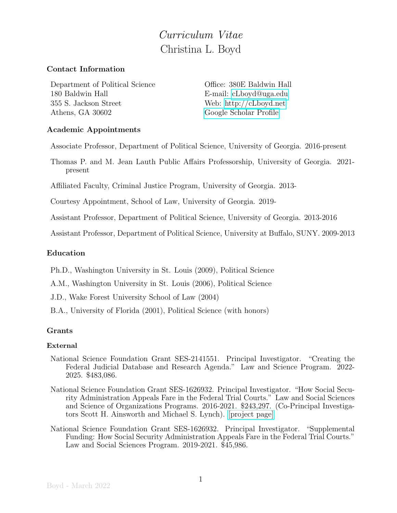# Curriculum Vitae Christina L. Boyd

## Contact Information

Department of Political Science Office: 380E Baldwin Hall 180 Baldwin Hall E-mail: [cLboyd@uga.edu](mailto:cLboyd@uga.edu) 355 S. Jackson Street Web:<http://cLboyd.net> Athens, GA 30602 [Google Scholar Profile](https://scholar.google.com/citations?user=dT_l5PAAAAAJ&hl=en)

## Academic Appointments

Associate Professor, Department of Political Science, University of Georgia. 2016-present

Thomas P. and M. Jean Lauth Public Affairs Professorship, University of Georgia. 2021 present

Affiliated Faculty, Criminal Justice Program, University of Georgia. 2013-

Courtesy Appointment, School of Law, University of Georgia. 2019-

Assistant Professor, Department of Political Science, University of Georgia. 2013-2016

Assistant Professor, Department of Political Science, University at Buffalo, SUNY. 2009-2013

## Education

Ph.D., Washington University in St. Louis (2009), Political Science

A.M., Washington University in St. Louis (2006), Political Science

J.D., Wake Forest University School of Law (2004)

B.A., University of Florida (2001), Political Science (with honors)

## Grants

#### External

- National Science Foundation Grant SES-2141551. Principal Investigator. "Creating the Federal Judicial Database and Research Agenda." Law and Science Program. 2022- 2025. \$483,086.
- National Science Foundation Grant SES-1626932. Principal Investigator. "How Social Security Administration Appeals Fare in the Federal Trial Courts." Law and Social Sciences and Science of Organizations Programs. 2016-2021. \$243,297. (Co-Principal Investigators Scott H. Ainsworth and Michael S. Lynch). [\[project page\]](http://clboyd.net/SSAtrial.html)
- National Science Foundation Grant SES-1626932. Principal Investigator. "Supplemental Funding: How Social Security Administration Appeals Fare in the Federal Trial Courts." Law and Social Sciences Program. 2019-2021. \$45,986.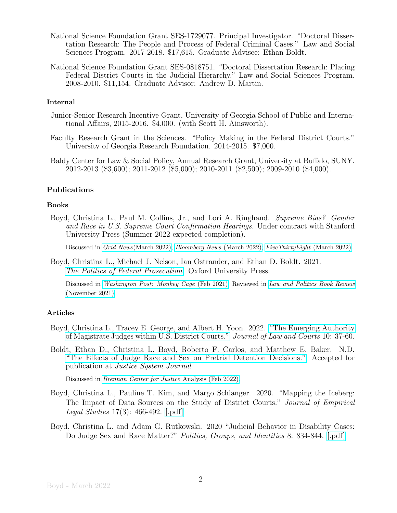- National Science Foundation Grant SES-1729077. Principal Investigator. "Doctoral Dissertation Research: The People and Process of Federal Criminal Cases." Law and Social Sciences Program. 2017-2018. \$17,615. Graduate Advisee: Ethan Boldt.
- National Science Foundation Grant SES-0818751. "Doctoral Dissertation Research: Placing Federal District Courts in the Judicial Hierarchy." Law and Social Sciences Program. 2008-2010. \$11,154. Graduate Advisor: Andrew D. Martin.

#### Internal

- Junior-Senior Research Incentive Grant, University of Georgia School of Public and International Affairs, 2015-2016. \$4,000. (with Scott H. Ainsworth).
- Faculty Research Grant in the Sciences. "Policy Making in the Federal District Courts." University of Georgia Research Foundation. 2014-2015. \$7,000.
- Baldy Center for Law & Social Policy, Annual Research Grant, University at Buffalo, SUNY. 2012-2013 (\$3,600); 2011-2012 (\$5,000); 2010-2011 (\$2,500); 2009-2010 (\$4,000).

#### Publications

#### Books

Boyd, Christina L., Paul M. Collins, Jr., and Lori A. Ringhand. Supreme Bias? Gender and Race in U.S. Supreme Court Confirmation Hearings. Under contract with Stanford University Press (Summer 2022 expected completion).

Discussed in Grid News[\(March 2022\);](https://www.grid.news/story/politics/2022/03/21/how-race-and-gender-influence-supreme-court-confirmation-hearings-according-to-social-science/) [Bloomberg News](https://www.bloomberg.com/news/articles/2022-03-22/in-cruz-spar-jackson-sees-similar-hurdles-as-previous-minorities) (March 2022); [FiveThirtyEight](https://fivethirtyeight.com/features/how-racism-and-sexism-could-define-ketanji-brown-jacksons-confirmation-hearings/) (March 2022).

Boyd, Christina L., Michael J. Nelson, Ian Ostrander, and Ethan D. Boldt. 2021. [The Politics of Federal Prosecution](https://global.oup.com/academic/product/the-politics-of-federal-prosecution-9780197554685?cc=us&lang=en&). Oxford University Press.

Discussed in [Washington Post: Monkey Cage](https://www.washingtonpost.com/politics/2021/02/01/when-bidens-new-us-attorneys-prosecute-capitol-rioters-they-will-pay-attention-his-signals/) (Feb 2021); Reviewed in [Law and Politics Book Review](http://www.lpbr.net/2021/11/the-politics-of-federal-prosecution.html) [\(November 2021\).](http://www.lpbr.net/2021/11/the-politics-of-federal-prosecution.html)

#### Articles

- Boyd, Christina L., Tracey E. George, and Albert H. Yoon. 2022. ["The Emerging Authority](https://www.journals.uchicago.edu/doi/full/10.1086/714576?casa_token=FqtuhXkJoq0AAAAA:9fxzX9a7puTqJ5HAAc60uzkGR3CI74Y9lbIbbyPIq4TLc_Yqzly3jShlcUkVVnqYORiL2K5GtCg) [of Magistrate Judges within U.S. District Courts."](https://www.journals.uchicago.edu/doi/full/10.1086/714576?casa_token=FqtuhXkJoq0AAAAA:9fxzX9a7puTqJ5HAAc60uzkGR3CI74Y9lbIbbyPIq4TLc_Yqzly3jShlcUkVVnqYORiL2K5GtCg) Journal of Law and Courts 10: 37-60.
- Boldt, Ethan D., Christina L. Boyd, Roberto F. Carlos, and Matthew E. Baker. N.D. ["The Effects of Judge Race and Sex on Pretrial Detention Decisions."](https://www.tandfonline.com/doi/full/10.1080/0098261X.2021.1881665?casa_token=UCsMlq8mzDQAAAAA%3AE5HOKCYlNzghzIZVcdBAZhw4NqvmaPlzzDTi0iXMvwv-ATpG8dVdYylEZZh-Uy-MuLV0i7I5-bOv) Accepted for publication at Justice System Journal.

Discussed in [Brennan Center for Justice](https://www.brennancenter.org/our-work/analysis-opinion/what-research-shows-about-importance-supreme-court-diversity) Analysis (Feb 2022).

- Boyd, Christina L., Pauline T. Kim, and Margo Schlanger. 2020. "Mapping the Iceberg: The Impact of Data Sources on the Study of District Courts." Journal of Empirical Legal Studies 17(3): 466-492. [\[.pdf\]](http://clboyd.net/BoydKimSchlanger2020-JELS-Mapping.pdf)
- Boyd, Christina L. and Adam G. Rutkowski. 2020 "Judicial Behavior in Disability Cases: Do Judge Sex and Race Matter?" Politics, Groups, and Identities 8: 834-844. [\[.pdf\]](http://clboyd.net/BoydRutkowski2020-PGI-disabilityjudgesexrace.pdf)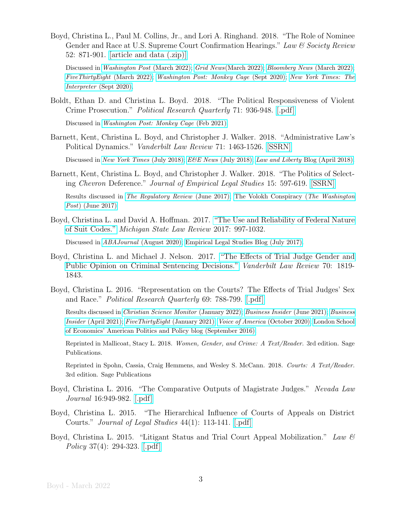Boyd, Christina L., Paul M. Collins, Jr., and Lori A. Ringhand. 2018. "The Role of Nominee Gender and Race at U.S. Supreme Court Confirmation Hearings." Law & Society Review 52: 871-901. [\[article and data \(.zip\)\]](https://www.dropbox.com/s/pvsss14m6qrg248/LSR%202018%20Data.zip?dl=1)

Discussed in [Washington Post](https://www.washingtonpost.com/lifestyle/2022/03/21/black-women-ketanji-brown-jackson-confirmation-hearings/) [\(March 2022\);](https://www.grid.news/story/politics/2022/03/21/how-race-and-gender-influence-supreme-court-confirmation-hearings-according-to-social-science/) Grid News(March 2022); [Bloomberg News](https://www.bloomberg.com/news/articles/2022-03-22/in-cruz-spar-jackson-sees-similar-hurdles-as-previous-minorities) (March 2022); [FiveThirtyEight](https://fivethirtyeight.com/features/how-racism-and-sexism-could-define-ketanji-brown-jacksons-confirmation-hearings/) (March 2022); [Washington Post: Monkey Cage](https://www.washingtonpost.com/politics/2020/09/29/senators-treat-female-supreme-court-nominees-differently-heres-evidence/) (Sept 2020); [New York Times: The](https://tinyurl.com/yasccyzn) Interpreter [\(Sept 2020\).](https://tinyurl.com/yasccyzn)

Boldt, Ethan D. and Christina L. Boyd. 2018. "The Political Responsiveness of Violent Crime Prosecution." Political Research Quarterly 71: 936-948. [\[.pdf\]](http://clboyd.net/BoldtBoyd2018-PRQ-prosecutors.pdf)

Discussed in [Washington Post: Monkey Cage](https://www.washingtonpost.com/politics/2021/02/01/when-bidens-new-us-attorneys-prosecute-capitol-rioters-they-will-pay-attention-his-signals/) (Feb 2021).

Barnett, Kent, Christina L. Boyd, and Christopher J. Walker. 2018. "Administrative Law's Political Dynamics." Vanderbilt Law Review 71: 1463-1526. [\[SSRN\]](https://ssrn.com/abstract=3132045)

Discussed in [New York Times](https://t.co/QNZYwyGxzq) [\(July 2018\);](https://www.eenews.net/stories/1060088675) E&E News (July 2018); Law and Liberty [Blog \(April 2018\).](http://www.libertylawsite.org/2018/04/03/the-federalist-societys-chevron-deference-dilemma/)

Barnett, Kent, Christina L. Boyd, and Christopher J. Walker. 2018. "The Politics of Selecting Chevron Deference." Journal of Empirical Legal Studies 15: 597-619. [\[SSRN\]](https://ssrn.com/abstract=2984302)

Results discussed in [The Regulatory Review](https://www.theregreview.org/2017/06/23/the-regulatory-week-in-review-june-23-2017/) (June 2017); [The Volokh Conspiracy \(](https://wapo.st/2uf91ZK?tid=ss_tw&utm_term=.16f4f000a6a7)The Washington Post[\) \(June 2017\)](https://wapo.st/2uf91ZK?tid=ss_tw&utm_term=.16f4f000a6a7)

Boyd, Christina L. and David A. Hoffman. 2017. ["The Use and Reliability of Federal Nature](https://digitalcommons.law.msu.edu/lr/vol2017/iss5/1/) [of Suit Codes."](https://digitalcommons.law.msu.edu/lr/vol2017/iss5/1/) Michigan State Law Review 2017: 997-1032.

Discussed in ABAJournal [\(August 2020\);](https://www.abajournal.com/magazine/article/analytics-products-offer-different-results-depending-on-data-sources-quality-and-the-types-of-analytics-and-reports-they-provide) [Empirical Legal Studies Blog \(July 2017\).](http://www.elsblog.org/the_empirical_legal_studi/2017/08/the-reliability-of-federal-civil-data-nos-coding.html)

- Boyd, Christina L. and Michael J. Nelson. 2017. ["The Effects of Trial Judge Gender and](https://www.vanderbiltlawreview.org/2017/11/the-effects-of-trial-judge-gender-and-public-opinion-on-criminal-sentencing-decisions/) [Public Opinion on Criminal Sentencing Decisions."](https://www.vanderbiltlawreview.org/2017/11/the-effects-of-trial-judge-gender-and-public-opinion-on-criminal-sentencing-decisions/) Vanderbilt Law Review 70: 1819- 1843.
- Boyd, Christina L. 2016. "Representation on the Courts? The Effects of Trial Judges' Sex and Race." Political Research Quarterly 69: 788-799. [\[.pdf\]](http://clboyd.net/Boyd2016-PRQ-representation.pdf)

Results discussed in [Christian Science Monitor](https://www.csmonitor.com/USA/Justice/2022/0119/Record-speed-and-focus-Biden-s-judicial-picks-diversify-bench) (January 2022); [Business Insider](https://www.businessinsider.com/diversity-in-the-judiciary-impacts-how-cases-are-decided-2021-6) (June 2021); [Business](https://www.businessinsider.com/trump-federal-judge-appointments-racial-diversity-2021-4) Insider [\(April 2021\);](https://www.businessinsider.com/trump-federal-judge-appointments-racial-diversity-2021-4) [FiveThirtyEight](https://fivethirtyeight.com/features/trump-made-the-federal-courts-whiter-and-more-conservative-and-that-will-be-tough-for-biden-to-reverse/) (January 2021); [Voice of America](https://tinyurl.com/y5wnw6lh) (October 2020); [London School](http://blogs.lse.ac.uk/usappblog/2016/09/14/diverse-federal-trial-judges-are-more-likely-to-rule-in-favor-of-minorities-and-women-in-sex-and-racial-discrimination-cases/) [of Economics' American Politics and Policy blog \(September 2016\).](http://blogs.lse.ac.uk/usappblog/2016/09/14/diverse-federal-trial-judges-are-more-likely-to-rule-in-favor-of-minorities-and-women-in-sex-and-racial-discrimination-cases/)

Reprinted in Mallicoat, Stacy L. 2018. Women, Gender, and Crime: A Text/Reader. 3rd edition. Sage Publications.

Reprinted in Spohn, Cassia, Craig Hemmens, and Wesley S. McCann. 2018. Courts: A Text/Reader. 3rd edition. Sage Publications

- Boyd, Christina L. 2016. "The Comparative Outputs of Magistrate Judges." Nevada Law Journal 16:949-982. [\[.pdf\]](http://clboyd.net/Boyd2016-UNLV-MJs.pdf)
- Boyd, Christina L. 2015. "The Hierarchical Influence of Courts of Appeals on District Courts." Journal of Legal Studies 44(1): 113-141. [\[.pdf\]](http://clboyd.net/Boyd2015-JLS-hierarchydistcts.pdf)
- Boyd, Christina L. 2015. "Litigant Status and Trial Court Appeal Mobilization." Law  $\mathcal B$ Policy 37(4): 294-323. [\[.pdf\]](http://clboyd.net/Boyd2015-Law&Policy-appeal%20mobilization.pdf)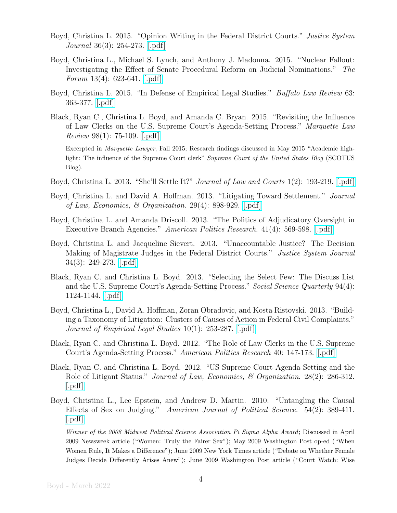- Boyd, Christina L. 2015. "Opinion Writing in the Federal District Courts." Justice System Journal 36(3): 254-273. [\[.pdf\]](http://clboyd.net/Boyd2015-JSJ-opinions.pdf)
- Boyd, Christina L., Michael S. Lynch, and Anthony J. Madonna. 2015. "Nuclear Fallout: Investigating the Effect of Senate Procedural Reform on Judicial Nominations." The Forum  $13(4)$ : 623-641. [\[.pdf\]](http://clboyd.net/BoydLynchMadonna2015-Forum-Nuclear.pdf)
- Boyd, Christina L. 2015. "In Defense of Empirical Legal Studies." Buffalo Law Review 63: 363-377. [\[.pdf\]](http://clboyd.net/Boyd2015-UB-ELS.pdf)
- Black, Ryan C., Christina L. Boyd, and Amanda C. Bryan. 2015. "Revisiting the Influence of Law Clerks on the U.S. Supreme Court's Agenda-Setting Process." Marquette Law Review 98(1): 75-109. [\[.pdf\]](http://clboyd.net/BlackBoydBryan2014-Marquette-Revisiting%20Agenda%20Setting.pdf)

Excerpted in Marquette Lawyer, Fall 2015; Research findings discussed in May 2015 "Academic highlight: The influence of the Supreme Court clerk" Supreme Court of the United States Blog (SCOTUS Blog).

- Boyd, Christina L. 2013. "She'll Settle It?" Journal of Law and Courts 1(2): 193-219. [\[.pdf\]](http://clboyd.net/Boyd2013-JLC-shellsettleit.pdf)
- Boyd, Christina L. and David A. Hoffman. 2013. "Litigating Toward Settlement." Journal of Law, Economics, & Organization. 29(4): 898-929. [\[.pdf\]](http://clboyd.net/BoydHoffman2013-JLEO-LitigatingSettlement.pdf)
- Boyd, Christina L. and Amanda Driscoll. 2013. "The Politics of Adjudicatory Oversight in Executive Branch Agencies." *American Politics Research.* 41(4): 569-598. [\[.pdf\]](http://clboyd.net/BoydDriscoll2013-APR-AgencyAdjudications.pdf)
- Boyd, Christina L. and Jacqueline Sievert. 2013. "Unaccountable Justice? The Decision Making of Magistrate Judges in the Federal District Courts." Justice System Journal 34(3): 249-273. [\[.pdf\]](http://clboyd.net/BoydSievert2013-JSJ-magistrates.pdf)
- Black, Ryan C. and Christina L. Boyd. 2013. "Selecting the Select Few: The Discuss List and the U.S. Supreme Court's Agenda-Setting Process." Social Science Quarterly 94(4): 1124-1144. [\[.pdf\]](http://clboyd.net/BlackBoyd2013-SSQ-DiscussList.pdf)
- Boyd, Christina L., David A. Hoffman, Zoran Obradovic, and Kosta Ristovski. 2013. "Building a Taxonomy of Litigation: Clusters of Causes of Action in Federal Civil Complaints." Journal of Empirical Legal Studies 10(1): 253-287. [\[.pdf\]](http://clboyd.net/BoydHoffmanObradovicRistovski2013-jels-taxonomy.pdf)
- Black, Ryan C. and Christina L. Boyd. 2012. "The Role of Law Clerks in the U.S. Supreme Court's Agenda-Setting Process." American Politics Research 40: 147-173. [\[.pdf\]](http://clboyd.net/BlackBoyd2012-APR-Clerks.pdf)
- Black, Ryan C. and Christina L. Boyd. 2012. "US Supreme Court Agenda Setting and the Role of Litigant Status." Journal of Law, Economics, & Organization. 28(2): 286-312.  $|.pdf|$
- Boyd, Christina L., Lee Epstein, and Andrew D. Martin. 2010. "Untangling the Causal Effects of Sex on Judging." American Journal of Political Science. 54(2): 389-411. [\[.pdf\]](http://clboyd.net/BoydEpsteinMartin2010-ajps-untangling.pdf)

Winner of the 2008 Midwest Political Science Association Pi Sigma Alpha Award; Discussed in April 2009 Newsweek article ("Women: Truly the Fairer Sex"); May 2009 Washington Post op-ed ("When Women Rule, It Makes a Difference"); June 2009 New York Times article ("Debate on Whether Female Judges Decide Differently Arises Anew"); June 2009 Washington Post article ("Court Watch: Wise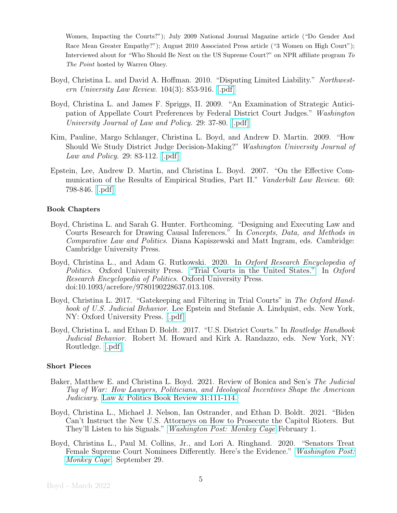Women, Impacting the Courts?"); July 2009 National Journal Magazine article ("Do Gender And Race Mean Greater Empathy?"); August 2010 Associated Press article ("3 Women on High Court"); Interviewed about for "Who Should Be Next on the US Supreme Court?" on NPR affiliate program To The Point hosted by Warren Olney.

- Boyd, Christina L. and David A. Hoffman. 2010. "Disputing Limited Liability." Northwestern University Law Review. 104(3): 853-916. [\[.pdf\]](http://clboyd.net/BoydHoffman2010-NWLR-DLL.pdf)
- Boyd, Christina L. and James F. Spriggs, II. 2009. "An Examination of Strategic Anticipation of Appellate Court Preferences by Federal District Court Judges." Washington University Journal of Law and Policy. 29: 37-80. [\[.pdf\]](http://clboyd.net/BoydSpriggs2009-wustlL&P-distanticipation.pdf)
- Kim, Pauline, Margo Schlanger, Christina L. Boyd, and Andrew D. Martin. 2009. "How Should We Study District Judge Decision-Making?" Washington University Journal of Law and Policy. 29: 83-112. [\[.pdf\]](http://clboyd.net/KimSchlangerBoydMartin2009-WashUL&P.pdf)
- Epstein, Lee, Andrew D. Martin, and Christina L. Boyd. 2007. "On the Effective Communication of the Results of Empirical Studies, Part II." Vanderbilt Law Review. 60: 798-846. [\[.pdf\]](http://clboyd.net/EpsteinMartinBoyd2007-VandU-communicating.pdf)

#### Book Chapters

- Boyd, Christina L. and Sarah G. Hunter. Forthcoming. "Designing and Executing Law and Courts Research for Drawing Causal Inferences." In Concepts, Data, and Methods in Comparative Law and Politics. Diana Kapiszewski and Matt Ingram, eds. Cambridge: Cambridge University Press.
- Boyd, Christina L., and Adam G. Rutkowski. 2020. In *Oxford Research Encyclopedia of* Politics. Oxford University Press. ["Trial Courts in the United States."](https://doi.org/10.1093/acrefore/9780190228637.013.108) In Oxford Research Encyclopedia of Politics. Oxford University Press. doi:10.1093/acrefore/9780190228637.013.108.
- Boyd, Christina L. 2017. "Gatekeeping and Filtering in Trial Courts" in The Oxford Handbook of U.S. Judicial Behavior. Lee Epstein and Stefanie A. Lindquist, eds. New York, NY: Oxford University Press. [\[.pdf\]](http://clboyd.net/Boyd2017-Oxford-gatekeeping.pdf)
- Boyd, Christina L. and Ethan D. Boldt. 2017. "U.S. District Courts." In Routledge Handbook Judicial Behavior. Robert M. Howard and Kirk A. Randazzo, eds. New York, NY: Routledge. [\[.pdf\]](http://clboyd.net/Boyd2017-Routledge-USDC.pdf)

#### Short Pieces

- Baker, Matthew E. and Christina L. Boyd. 2021. Review of Bonica and Sen's The Judicial Tug of War: How Lawyers, Politicians, and Ideological Incentives Shape the American Judiciary. [Law & Politics Book Review 31:111-114.](http://www.lpbr.net/2021/06/the-judicial-tug-of-war-how-lawyers.html)
- Boyd, Christina L., Michael J. Nelson, Ian Ostrander, and Ethan D. Boldt. 2021. "Biden Can't Instruct the New U.S. Attorneys on How to Prosecute the Capitol Rioters. But They'll Listen to his Signals." [Washington Post: Monkey Cage](https://www.washingtonpost.com/politics/2021/02/01/when-bidens-new-us-attorneys-prosecute-capitol-rioters-they-will-pay-attention-his-signals/) February 1.
- Boyd, Christina L., Paul M. Collins, Jr., and Lori A. Ringhand. 2020. "Senators Treat Female Supreme Court Nominees Differently. Here's the Evidence." [Washington Post:](https://www.washingtonpost.com/politics/2020/09/29/senators-treat-female-supreme-court-nominees-differently-heres-evidence/) [Monkey Cage](https://www.washingtonpost.com/politics/2020/09/29/senators-treat-female-supreme-court-nominees-differently-heres-evidence/). September 29.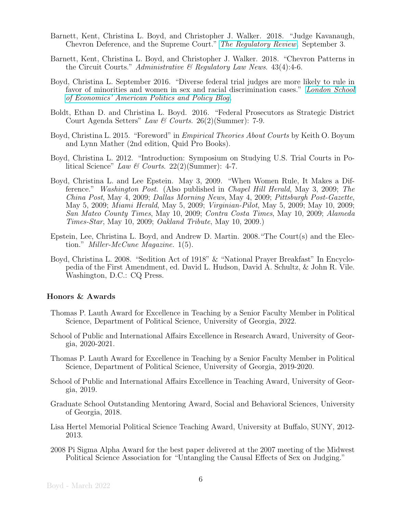- Barnett, Kent, Christina L. Boyd, and Christopher J. Walker. 2018. "Judge Kavanaugh, Chevron Deference, and the Supreme Court." [The Regulatory Review](https://www.theregreview.org/2018/09/03/barnett-boyd-walker-kavanaugh-chevron-deference-supreme-court/). September 3.
- Barnett, Kent, Christina L. Boyd, and Christopher J. Walker. 2018. "Chevron Patterns in the Circuit Courts." Administrative  $\mathcal B$  Regulatory Law News. 43(4):4-6.
- Boyd, Christina L. September 2016. "Diverse federal trial judges are more likely to rule in favor of minorities and women in sex and racial discrimination cases." [London School](http://blogs.lse.ac.uk/usappblog/2016/09/14/diverse-federal-trial-judges-are-more-likely-to-rule-in-favor-of-minorities-and-women-in-sex-and-racial-discrimination-cases/) [of Economics' American Politics and Policy Blog](http://blogs.lse.ac.uk/usappblog/2016/09/14/diverse-federal-trial-judges-are-more-likely-to-rule-in-favor-of-minorities-and-women-in-sex-and-racial-discrimination-cases/).
- Boldt, Ethan D. and Christina L. Boyd. 2016. "Federal Prosecutors as Strategic District Court Agenda Setters" Law & Courts. 26(2)(Summer): 7-9.
- Boyd, Christina L. 2015. "Foreword" in Empirical Theories About Courts by Keith O. Boyum and Lynn Mather (2nd edition, Quid Pro Books).
- Boyd, Christina L. 2012. "Introduction: Symposium on Studying U.S. Trial Courts in Political Science" Law & Courts. 22(2)(Summer): 4-7.
- Boyd, Christina L. and Lee Epstein. May 3, 2009. "When Women Rule, It Makes a Difference." Washington Post. (Also published in Chapel Hill Herald, May 3, 2009; The China Post, May 4, 2009; Dallas Morning News, May 4, 2009; Pittsburgh Post-Gazette, May 5, 2009; Miami Herald, May 5, 2009; Virginian-Pilot, May 5, 2009; May 10, 2009; San Mateo County Times, May 10, 2009; Contra Costa Times, May 10, 2009; Alameda Times-Star, May 10, 2009; Oakland Tribute, May 10, 2009.)
- Epstein, Lee, Christina L. Boyd, and Andrew D. Martin. 2008."The Court(s) and the Election." Miller-McCune Magazine. 1(5).
- Boyd, Christina L. 2008. "Sedition Act of 1918" & "National Prayer Breakfast" In Encyclopedia of the First Amendment, ed. David L. Hudson, David A. Schultz, & John R. Vile. Washington, D.C.: CQ Press.

### Honors & Awards

- Thomas P. Lauth Award for Excellence in Teaching by a Senior Faculty Member in Political Science, Department of Political Science, University of Georgia, 2022.
- School of Public and International Affairs Excellence in Research Award, University of Georgia, 2020-2021.
- Thomas P. Lauth Award for Excellence in Teaching by a Senior Faculty Member in Political Science, Department of Political Science, University of Georgia, 2019-2020.
- School of Public and International Affairs Excellence in Teaching Award, University of Georgia, 2019.
- Graduate School Outstanding Mentoring Award, Social and Behavioral Sciences, University of Georgia, 2018.
- Lisa Hertel Memorial Political Science Teaching Award, University at Buffalo, SUNY, 2012- 2013.
- 2008 Pi Sigma Alpha Award for the best paper delivered at the 2007 meeting of the Midwest Political Science Association for "Untangling the Causal Effects of Sex on Judging."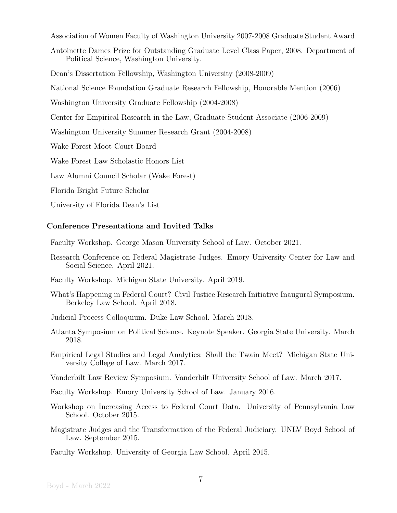Association of Women Faculty of Washington University 2007-2008 Graduate Student Award

Antoinette Dames Prize for Outstanding Graduate Level Class Paper, 2008. Department of Political Science, Washington University.

Dean's Dissertation Fellowship, Washington University (2008-2009)

National Science Foundation Graduate Research Fellowship, Honorable Mention (2006)

Washington University Graduate Fellowship (2004-2008)

Center for Empirical Research in the Law, Graduate Student Associate (2006-2009)

Washington University Summer Research Grant (2004-2008)

Wake Forest Moot Court Board

Wake Forest Law Scholastic Honors List

Law Alumni Council Scholar (Wake Forest)

Florida Bright Future Scholar

University of Florida Dean's List

#### Conference Presentations and Invited Talks

Faculty Workshop. George Mason University School of Law. October 2021.

Research Conference on Federal Magistrate Judges. Emory University Center for Law and Social Science. April 2021.

Faculty Workshop. Michigan State University. April 2019.

- What's Happening in Federal Court? Civil Justice Research Initiative Inaugural Symposium. Berkeley Law School. April 2018.
- Judicial Process Colloquium. Duke Law School. March 2018.
- Atlanta Symposium on Political Science. Keynote Speaker. Georgia State University. March 2018.
- Empirical Legal Studies and Legal Analytics: Shall the Twain Meet? Michigan State University College of Law. March 2017.
- Vanderbilt Law Review Symposium. Vanderbilt University School of Law. March 2017.
- Faculty Workshop. Emory University School of Law. January 2016.
- Workshop on Increasing Access to Federal Court Data. University of Pennsylvania Law School. October 2015.
- Magistrate Judges and the Transformation of the Federal Judiciary. UNLV Boyd School of Law. September 2015.

Faculty Workshop. University of Georgia Law School. April 2015.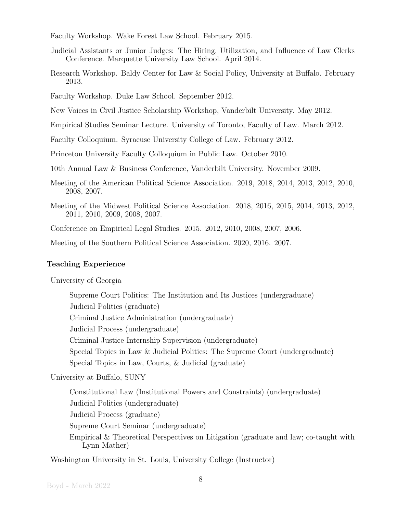Faculty Workshop. Wake Forest Law School. February 2015.

- Judicial Assistants or Junior Judges: The Hiring, Utilization, and Influence of Law Clerks Conference. Marquette University Law School. April 2014.
- Research Workshop. Baldy Center for Law & Social Policy, University at Buffalo. February 2013.

Faculty Workshop. Duke Law School. September 2012.

New Voices in Civil Justice Scholarship Workshop, Vanderbilt University. May 2012.

Empirical Studies Seminar Lecture. University of Toronto, Faculty of Law. March 2012.

Faculty Colloquium. Syracuse University College of Law. February 2012.

Princeton University Faculty Colloquium in Public Law. October 2010.

10th Annual Law & Business Conference, Vanderbilt University. November 2009.

- Meeting of the American Political Science Association. 2019, 2018, 2014, 2013, 2012, 2010, 2008, 2007.
- Meeting of the Midwest Political Science Association. 2018, 2016, 2015, 2014, 2013, 2012, 2011, 2010, 2009, 2008, 2007.

Conference on Empirical Legal Studies. 2015. 2012, 2010, 2008, 2007, 2006.

Meeting of the Southern Political Science Association. 2020, 2016. 2007.

#### Teaching Experience

University of Georgia

Supreme Court Politics: The Institution and Its Justices (undergraduate) Judicial Politics (graduate) Criminal Justice Administration (undergraduate) Judicial Process (undergraduate) Criminal Justice Internship Supervision (undergraduate) Special Topics in Law & Judicial Politics: The Supreme Court (undergraduate) Special Topics in Law, Courts, & Judicial (graduate)

University at Buffalo, SUNY

Constitutional Law (Institutional Powers and Constraints) (undergraduate) Judicial Politics (undergraduate) Judicial Process (graduate) Supreme Court Seminar (undergraduate) Empirical & Theoretical Perspectives on Litigation (graduate and law; co-taught with Lynn Mather)

Washington University in St. Louis, University College (Instructor)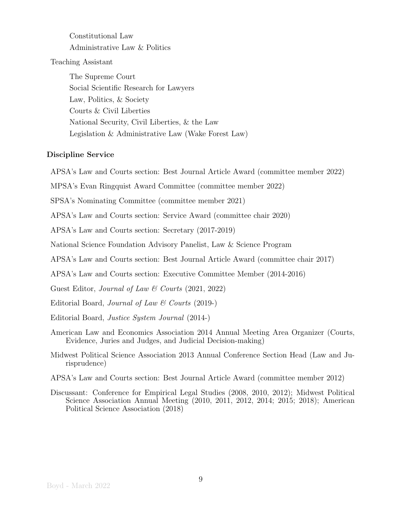## Constitutional Law Administrative Law & Politics

Teaching Assistant

The Supreme Court Social Scientific Research for Lawyers Law, Politics, & Society Courts & Civil Liberties National Security, Civil Liberties, & the Law Legislation & Administrative Law (Wake Forest Law)

## Discipline Service

APSA's Law and Courts section: Best Journal Article Award (committee member 2022)

MPSA's Evan Ringquist Award Committee (committee member 2022)

SPSA's Nominating Committee (committee member 2021)

APSA's Law and Courts section: Service Award (committee chair 2020)

APSA's Law and Courts section: Secretary (2017-2019)

National Science Foundation Advisory Panelist, Law & Science Program

APSA's Law and Courts section: Best Journal Article Award (committee chair 2017)

APSA's Law and Courts section: Executive Committee Member (2014-2016)

Guest Editor, Journal of Law & Courts (2021, 2022)

Editorial Board, Journal of Law & Courts (2019-)

Editorial Board, Justice System Journal (2014-)

- American Law and Economics Association 2014 Annual Meeting Area Organizer (Courts, Evidence, Juries and Judges, and Judicial Decision-making)
- Midwest Political Science Association 2013 Annual Conference Section Head (Law and Jurisprudence)
- APSA's Law and Courts section: Best Journal Article Award (committee member 2012)
- Discussant: Conference for Empirical Legal Studies (2008, 2010, 2012); Midwest Political Science Association Annual Meeting (2010, 2011, 2012, 2014; 2015; 2018); American Political Science Association (2018)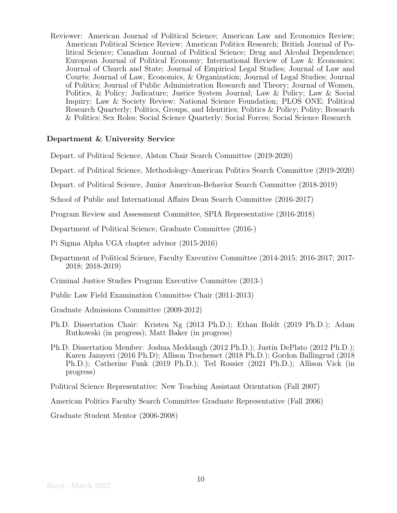Reviewer: American Journal of Political Science; American Law and Economics Review; American Political Science Review; American Politics Research; British Journal of Political Science; Canadian Journal of Political Science; Drug and Alcohol Dependence; European Journal of Political Economy; International Review of Law & Economics; Journal of Church and State; Journal of Empirical Legal Studies; Journal of Law and Courts; Journal of Law, Economics, & Organization; Journal of Legal Studies; Journal of Politics; Journal of Public Administration Research and Theory; Journal of Women, Politics, & Policy; Judicature; Justice System Journal; Law & Policy; Law & Social Inquiry; Law & Society Review; National Science Foundation; PLOS ONE; Political Research Quarterly; Politics, Groups, and Identities; Politics & Policy; Polity; Research & Politics; Sex Roles; Social Science Quarterly; Social Forces; Social Science Research

## Department & University Service

Depart. of Political Science, Alston Chair Search Committee (2019-2020)

Depart. of Political Science, Methodology-American Politics Search Committee (2019-2020)

Depart. of Political Science, Junior American-Behavior Search Committee (2018-2019)

School of Public and International Affairs Dean Search Committee (2016-2017)

Program Review and Assessment Committee, SPIA Representative (2016-2018)

Department of Political Science, Graduate Committee (2016-)

Pi Sigma Alpha UGA chapter advisor (2015-2016)

Department of Political Science, Faculty Executive Committee (2014-2015; 2016-2017; 2017- 2018; 2018-2019)

Criminal Justice Studies Program Executive Committee (2013-)

Public Law Field Examination Committee Chair (2011-2013)

Graduate Admissions Committee (2009-2012)

- Ph.D. Dissertation Chair: Kristen Ng (2013 Ph.D.); Ethan Boldt (2019 Ph.D.); Adam Rutkowski (in progress); Matt Baker (in progress)
- Ph.D. Dissertation Member: Joshua Meddaugh (2012 Ph.D.); Justin DePlato (2012 Ph.D.); Karen Jazayeri (2016 Ph.D); Allison Trochesset (2018 Ph.D.); Gordon Ballingrud (2018 Ph.D.); Catherine Funk (2019 Ph.D.); Ted Rossier (2021 Ph.D.); Allison Vick (in progress)

Political Science Representative: New Teaching Assistant Orientation (Fall 2007)

American Politics Faculty Search Committee Graduate Representative (Fall 2006)

Graduate Student Mentor (2006-2008)